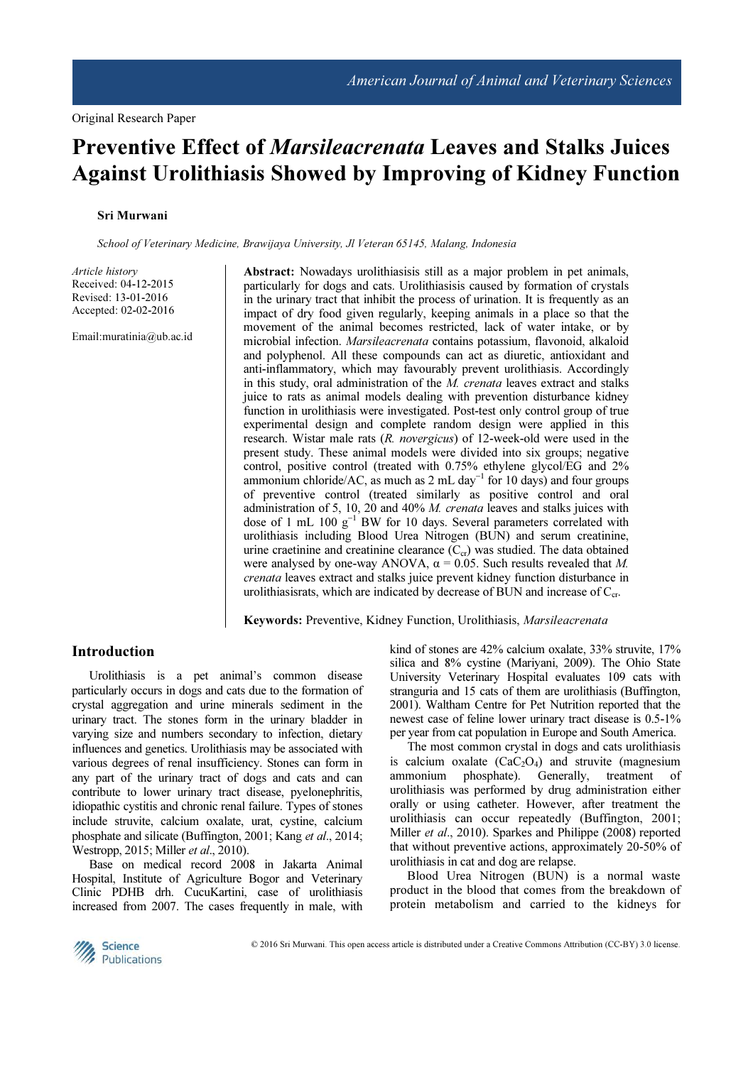# Preventive Effect of Marsileacrenata Leaves and Stalks Juices Against Urolithiasis Showed by Improving of Kidney Function

#### Sri Murwani

School of Veterinary Medicine, Brawijaya University, Jl Veteran 65145, Malang, Indonesia

Article history Received: 04-12-2015 Revised: 13-01-2016 Accepted: 02-02-2016

Email:muratinia@ub.ac.id

Abstract: Nowadays urolithiasisis still as a major problem in pet animals, particularly for dogs and cats. Urolithiasisis caused by formation of crystals in the urinary tract that inhibit the process of urination. It is frequently as an impact of dry food given regularly, keeping animals in a place so that the movement of the animal becomes restricted, lack of water intake, or by microbial infection. Marsileacrenata contains potassium, flavonoid, alkaloid and polyphenol. All these compounds can act as diuretic, antioxidant and anti-inflammatory, which may favourably prevent urolithiasis. Accordingly in this study, oral administration of the M. crenata leaves extract and stalks juice to rats as animal models dealing with prevention disturbance kidney function in urolithiasis were investigated. Post-test only control group of true experimental design and complete random design were applied in this research. Wistar male rats (R. novergicus) of 12-week-old were used in the present study. These animal models were divided into six groups; negative control, positive control (treated with 0.75% ethylene glycol/EG and 2% ammonium chloride/AC, as much as 2 mL day<sup>-1</sup> for 10 days) and four groups of preventive control (treated similarly as positive control and oral administration of 5, 10, 20 and 40% M. crenata leaves and stalks juices with dose of 1 mL  $100 g^{-1}$  BW for 10 days. Several parameters correlated with urolithiasis including Blood Urea Nitrogen (BUN) and serum creatinine, urine craetinine and creatinine clearance  $(C_{cr})$  was studied. The data obtained were analysed by one-way ANOVA,  $\alpha$  = 0.05. Such results revealed that M. crenata leaves extract and stalks juice prevent kidney function disturbance in urolithiasisrats, which are indicated by decrease of BUN and increase of  $C_{cr}$ .

Keywords: Preventive, Kidney Function, Urolithiasis, Marsileacrenata

## Introduction

Urolithiasis is a pet animal's common disease particularly occurs in dogs and cats due to the formation of crystal aggregation and urine minerals sediment in the urinary tract. The stones form in the urinary bladder in varying size and numbers secondary to infection, dietary influences and genetics. Urolithiasis may be associated with various degrees of renal insufficiency. Stones can form in any part of the urinary tract of dogs and cats and can contribute to lower urinary tract disease, pyelonephritis, idiopathic cystitis and chronic renal failure. Types of stones include struvite, calcium oxalate, urat, cystine, calcium phosphate and silicate (Buffington, 2001; Kang et al., 2014; Westropp, 2015; Miller et al., 2010).

Base on medical record 2008 in Jakarta Animal Hospital, Institute of Agriculture Bogor and Veterinary Clinic PDHB drh. CucuKartini, case of urolithiasis increased from 2007. The cases frequently in male, with kind of stones are 42% calcium oxalate, 33% struvite, 17% silica and 8% cystine (Mariyani, 2009). The Ohio State University Veterinary Hospital evaluates 109 cats with stranguria and 15 cats of them are urolithiasis (Buffington, 2001). Waltham Centre for Pet Nutrition reported that the newest case of feline lower urinary tract disease is 0.5-1% per year from cat population in Europe and South America.

The most common crystal in dogs and cats urolithiasis is calcium oxalate  $(CaC_2O_4)$  and struvite (magnesium ammonium phosphate). Generally, treatment of urolithiasis was performed by drug administration either orally or using catheter. However, after treatment the urolithiasis can occur repeatedly (Buffington, 2001; Miller et al., 2010). Sparkes and Philippe (2008) reported that without preventive actions, approximately 20-50% of urolithiasis in cat and dog are relapse.

Blood Urea Nitrogen (BUN) is a normal waste product in the blood that comes from the breakdown of protein metabolism and carried to the kidneys for

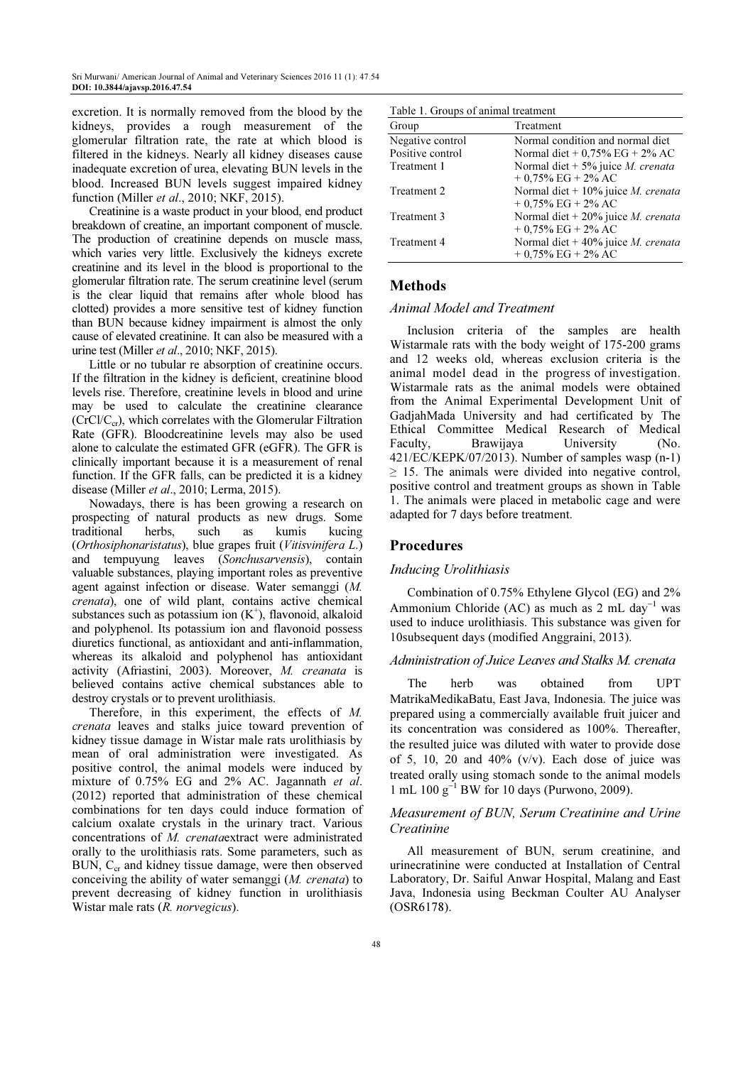excretion. It is normally removed from the blood by the kidneys, provides a rough measurement of the glomerular filtration rate, the rate at which blood is filtered in the kidneys. Nearly all kidney diseases cause inadequate excretion of urea, elevating BUN levels in the blood. Increased BUN levels suggest impaired kidney function (Miller et al., 2010; NKF, 2015).

Creatinine is a waste product in your blood, end product breakdown of creatine, an important component of muscle. The production of creatinine depends on muscle mass, which varies very little. Exclusively the kidneys excrete creatinine and its level in the blood is proportional to the glomerular filtration rate. The serum creatinine level (serum is the clear liquid that remains after whole blood has clotted) provides a more sensitive test of kidney function than BUN because kidney impairment is almost the only cause of elevated creatinine. It can also be measured with a urine test (Miller et al., 2010; NKF, 2015).

Little or no tubular re absorption of creatinine occurs. If the filtration in the kidney is deficient, creatinine blood levels rise. Therefore, creatinine levels in blood and urine may be used to calculate the creatinine clearance ( $CrCl/C_{cr}$ ), which correlates with the Glomerular Filtration Rate (GFR). Bloodcreatinine levels may also be used alone to calculate the estimated GFR (eGFR). The GFR is clinically important because it is a measurement of renal function. If the GFR falls, can be predicted it is a kidney disease (Miller et al., 2010; Lerma, 2015).

Nowadays, there is has been growing a research on prospecting of natural products as new drugs. Some traditional herbs, such as kumis kucing (Orthosiphonaristatus), blue grapes fruit (Vitisvinifera L.) and tempuyung leaves (Sonchusarvensis), contain valuable substances, playing important roles as preventive agent against infection or disease. Water semanggi (M. crenata), one of wild plant, contains active chemical substances such as potassium ion  $(K^+)$ , flavonoid, alkaloid and polyphenol. Its potassium ion and flavonoid possess diuretics functional, as antioxidant and anti-inflammation, whereas its alkaloid and polyphenol has antioxidant activity (Afriastini, 2003). Moreover, M. creanata is believed contains active chemical substances able to destroy crystals or to prevent urolithiasis.

Therefore, in this experiment, the effects of M. crenata leaves and stalks juice toward prevention of kidney tissue damage in Wistar male rats urolithiasis by mean of oral administration were investigated. As positive control, the animal models were induced by mixture of 0.75% EG and 2% AC. Jagannath et al. (2012) reported that administration of these chemical combinations for ten days could induce formation of calcium oxalate crystals in the urinary tract. Various concentrations of M. crenataextract were administrated orally to the urolithiasis rats. Some parameters, such as BUN,  $C_{cr}$  and kidney tissue damage, were then observed conceiving the ability of water semanggi (M. crenata) to prevent decreasing of kidney function in urolithiasis Wistar male rats (R. norvegicus).

| Table 1. Groups of animal treatment |                                              |  |  |
|-------------------------------------|----------------------------------------------|--|--|
| Group                               | Treatment                                    |  |  |
| Negative control                    | Normal condition and normal diet             |  |  |
| Positive control                    | Normal diet + $0.75\%$ EG + $2\%$ AC         |  |  |
| Treatment 1                         | Normal diet + $5\%$ juice <i>M. crenata</i>  |  |  |
|                                     | $+0.75\%$ EG $+2\%$ AC                       |  |  |
| Treatment 2                         | Normal diet + $10\%$ juice <i>M. crenata</i> |  |  |
|                                     | $+0.75\%$ EG $+2\%$ AC                       |  |  |
| Treatment 3                         | Normal diet + 20% juice M. crenata           |  |  |
|                                     | $+0.75\%$ EG $+2\%$ AC                       |  |  |
| Treatment 4                         | Normal diet + 40% juice $M$ . crenata        |  |  |
|                                     | $+0.75\%$ EG $+2\%$ AC                       |  |  |

## Methods

#### Animal Model and Treatment

Inclusion criteria of the samples are health Wistarmale rats with the body weight of 175-200 grams and 12 weeks old, whereas exclusion criteria is the animal model dead in the progress of investigation. Wistarmale rats as the animal models were obtained from the Animal Experimental Development Unit of GadjahMada University and had certificated by The Ethical Committee Medical Research of Medical Faculty. Brawijaya University (No. 421/EC/KEPK/07/2013). Number of samples wasp (n-1)  $\geq$  15. The animals were divided into negative control, positive control and treatment groups as shown in Table 1. The animals were placed in metabolic cage and were adapted for 7 days before treatment.

### Procedures

#### Inducing Urolithiasis

Combination of 0.75% Ethylene Glycol (EG) and 2% Ammonium Chloride (AC) as much as 2 mL day<sup>−</sup><sup>1</sup> was used to induce urolithiasis. This substance was given for 10subsequent days (modified Anggraini, 2013).

#### Administration of Juice Leaves and Stalks M. crenata

The herb was obtained from UPT MatrikaMedikaBatu, East Java, Indonesia. The juice was prepared using a commercially available fruit juicer and its concentration was considered as 100%. Thereafter, the resulted juice was diluted with water to provide dose of 5, 10, 20 and  $40\%$  (v/v). Each dose of juice was treated orally using stomach sonde to the animal models 1 mL 100 g<sup>−</sup><sup>1</sup> BW for 10 days (Purwono, 2009).

# Measurement of BUN, Serum Creatinine and Urine Creatinine

All measurement of BUN, serum creatinine, and urinecratinine were conducted at Installation of Central Laboratory, Dr. Saiful Anwar Hospital, Malang and East Java, Indonesia using Beckman Coulter AU Analyser (OSR6178).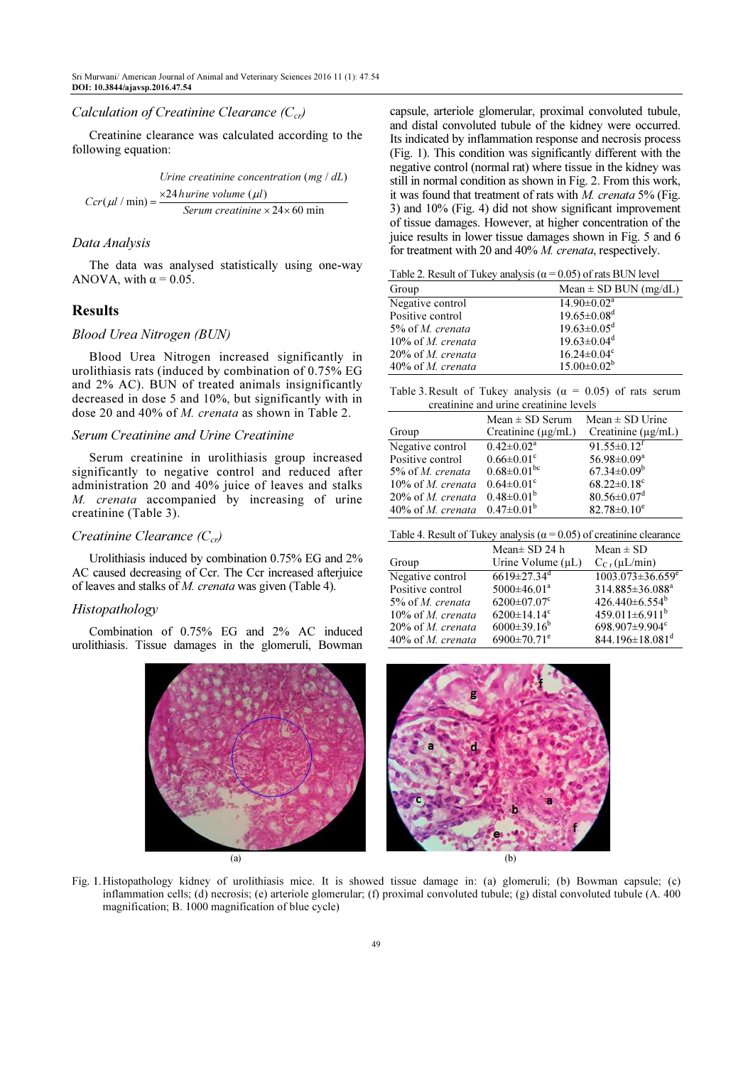#### Calculation of Creatinine Clearance  $(C_{cr})$

Creatinine clearance was calculated according to the following equation:

Urine creatinine concentration  $(mg / dL)$  $Ccr(\mu l / \min) = \frac{\times 24 \, \text{hurne volume } (\mu l)}{G}$ Serum creatinine  $\times$  24 $\times$  60 min  $=\frac{x}{x}$ 

#### Data Analysis

The data was analysed statistically using one-way ANOVA, with  $\alpha$  = 0.05.

## Results

### Blood Urea Nitrogen (BUN)

Blood Urea Nitrogen increased significantly in urolithiasis rats (induced by combination of 0.75% EG and 2% AC). BUN of treated animals insignificantly decreased in dose 5 and 10%, but significantly with in dose 20 and 40% of M. crenata as shown in Table 2.

#### Serum Creatinine and Urine Creatinine

Serum creatinine in urolithiasis group increased significantly to negative control and reduced after administration 20 and 40% juice of leaves and stalks M. crenata accompanied by increasing of urine creatinine (Table 3).

### Creatinine Clearance  $(C_{cr})$

Urolithiasis induced by combination 0.75% EG and 2% AC caused decreasing of Ccr. The Ccr increased afterjuice of leaves and stalks of  $M$ . crenata was given (Table 4).

#### Histopathology

Combination of 0.75% EG and 2% AC induced urolithiasis. Tissue damages in the glomeruli, Bowman capsule, arteriole glomerular, proximal convoluted tubule, and distal convoluted tubule of the kidney were occurred. Its indicated by inflammation response and necrosis process (Fig. 1). This condition was significantly different with the negative control (normal rat) where tissue in the kidney was still in normal condition as shown in Fig. 2. From this work, it was found that treatment of rats with  $M$ . crenata 5% (Fig. 3) and 10% (Fig. 4) did not show significant improvement of tissue damages. However, at higher concentration of the juice results in lower tissue damages shown in Fig. 5 and 6 for treatment with 20 and 40% M. crenata, respectively.

Table 2. Result of Tukey analysis ( $\alpha$  = 0.05) of rats BUN level

| Group                | Mean $\pm$ SD BUN (mg/dL)     |
|----------------------|-------------------------------|
| Negative control     | $14.90 \pm 0.02^a$            |
| Positive control     | $19.65 \pm 0.08$ <sup>d</sup> |
| 5% of M. crenata     | $19.63 \pm 0.05$ <sup>d</sup> |
| 10% of M. crenata    | $19.63 \pm 0.04$ <sup>d</sup> |
| $20\%$ of M. crenata | $16.24 \pm 0.04$ <sup>c</sup> |
| 40% of M. crenata    | $15.00 \pm 0.02^b$            |

Table 3. Result of Tukey analysis ( $\alpha = 0.05$ ) of rats serum creatinine and urine creatinine levels

|                      | $Mean \pm SD$ Serum           | Mean $\pm$ SD Urine            |
|----------------------|-------------------------------|--------------------------------|
| Group                | Creatinine $(\mu g/mL)$       | Creatinine $(\mu \alpha / mL)$ |
| Negative control     | $0.42 \pm 0.02^a$             | $91.55 \pm 0.12^t$             |
| Positive control     | $0.66 \pm 0.01$ <sup>c</sup>  | $56.98 \pm 0.09^a$             |
| 5% of M. crenata     | $0.68 \pm 0.01$ <sup>bc</sup> | $67.34 \pm 0.09^b$             |
| $10\%$ of M. crenata | $0.64 \pm 0.01$ <sup>c</sup>  | $68.22 \pm 0.18$ <sup>c</sup>  |
| $20\%$ of M. crenata | $0.48 \pm 0.01^b$             | $80.56 \pm 0.07$ <sup>d</sup>  |
| $40\%$ of M. crenata | $0.47 \pm 0.01^b$             | $82.78 \pm 0.10^e$             |

| Table 4. Result of Tukey analysis ( $\alpha$ = 0.05) of creatinine clearance |
|------------------------------------------------------------------------------|
|------------------------------------------------------------------------------|

|                      | Mean $\pm$ SD 24 h            | $Mean \pm SD$                      |
|----------------------|-------------------------------|------------------------------------|
| Group                | Urine Volume $(\mu L)$        | $C_{C_r}(\mu L/min)$               |
| Negative control     | $6619 \pm 27.34$ <sup>d</sup> | $1003.073 \pm 36.659$ <sup>e</sup> |
| Positive control     | $5000\pm46.01^{\circ}$        | $314.885 \pm 36.088^a$             |
| 5% of M. crenata     | $6200 \pm 07.07$ <sup>c</sup> | $426.440\pm6.554^b$                |
| 10% of M. crenata    | $6200 \pm 14.14$ <sup>c</sup> | $459.011\pm6.911^b$                |
| $20\%$ of M. crenata | $6000\pm39.16^{b}$            | 698.907 $\pm$ 9.904°               |
| 40% of M. crenata    | $6900 \pm 70.71$ <sup>e</sup> | $844.196 \pm 18.081$ <sup>d</sup>  |



Fig. 1. Histopathology kidney of urolithiasis mice. It is showed tissue damage in: (a) glomeruli; (b) Bowman capsule; (c) inflammation cells; (d) necrosis; (e) arteriole glomerular; (f) proximal convoluted tubule; (g) distal convoluted tubule (A. 400 magnification; B. 1000 magnification of blue cycle)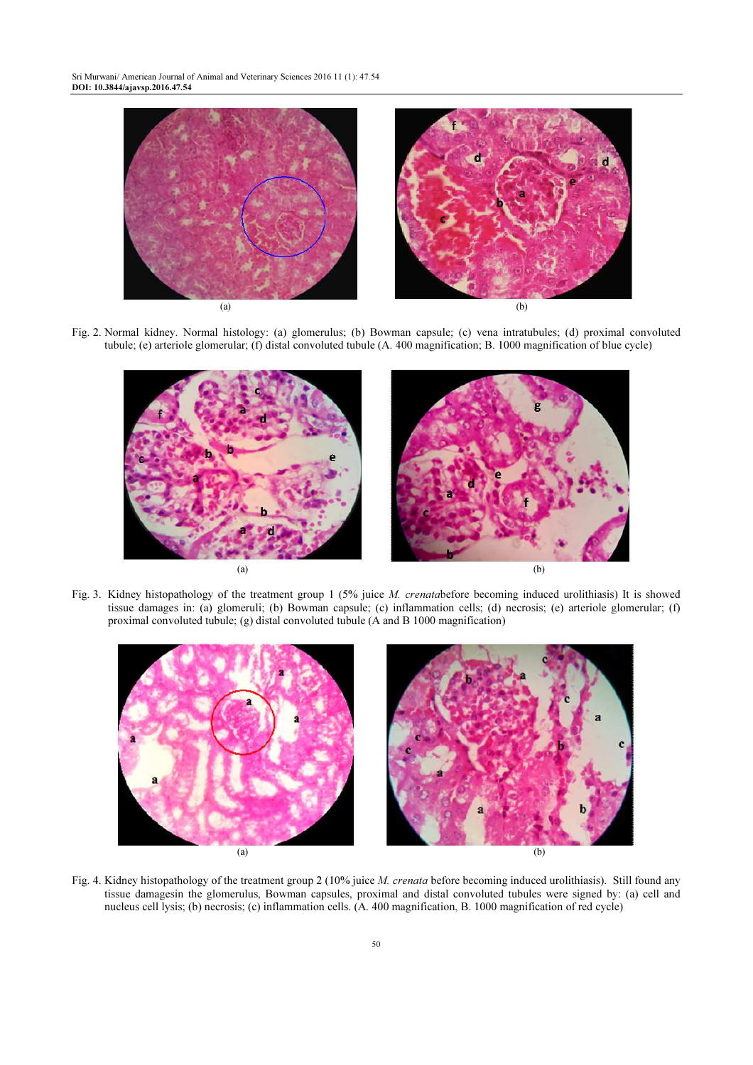Sri Murwani/ American Journal of Animal and Veterinary Sciences 2016 11 (1): 47.54 DOI: 10.3844/ajavsp.2016.47.54



Fig. 2. Normal kidney. Normal histology: (a) glomerulus; (b) Bowman capsule; (c) vena intratubules; (d) proximal convoluted tubule; (e) arteriole glomerular; (f) distal convoluted tubule (A. 400 magnification; B. 1000 magnification of blue cycle)



Fig. 3. Kidney histopathology of the treatment group 1 (5% juice M. crenatabefore becoming induced urolithiasis) It is showed tissue damages in: (a) glomeruli; (b) Bowman capsule; (c) inflammation cells; (d) necrosis; (e) arteriole glomerular; (f) proximal convoluted tubule; (g) distal convoluted tubule (A and B 1000 magnification)



Fig. 4. Kidney histopathology of the treatment group 2 (10% juice M. crenata before becoming induced urolithiasis). Still found any tissue damagesin the glomerulus, Bowman capsules, proximal and distal convoluted tubules were signed by: (a) cell and nucleus cell lysis; (b) necrosis; (c) inflammation cells. (A. 400 magnification, B. 1000 magnification of red cycle)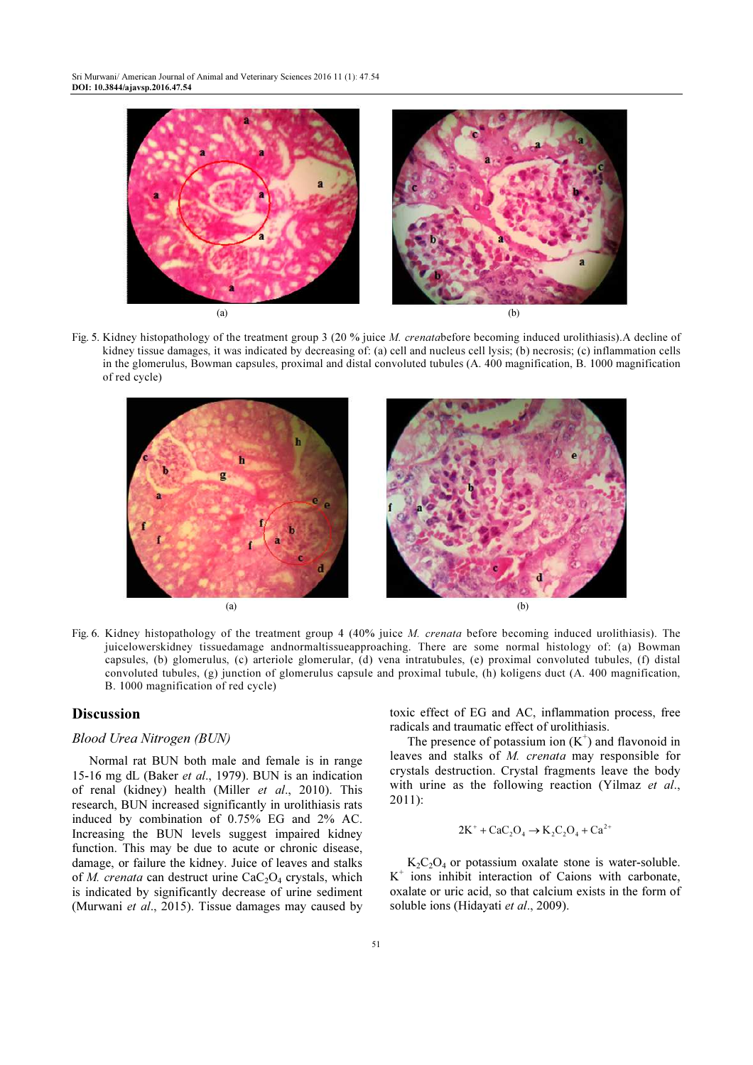Sri Murwani/ American Journal of Animal and Veterinary Sciences 2016 11 (1): 47.54 DOI: 10.3844/ajavsp.2016.47.54



Fig. 5. Kidney histopathology of the treatment group 3 (20 % juice M. crenatabefore becoming induced urolithiasis).A decline of kidney tissue damages, it was indicated by decreasing of: (a) cell and nucleus cell lysis; (b) necrosis; (c) inflammation cells in the glomerulus, Bowman capsules, proximal and distal convoluted tubules (A. 400 magnification, B. 1000 magnification of red cycle)



Fig. 6. Kidney histopathology of the treatment group 4 (40% juice M. crenata before becoming induced urolithiasis). The juicelowerskidney tissuedamage andnormaltissueapproaching. There are some normal histology of: (a) Bowman capsules, (b) glomerulus, (c) arteriole glomerular, (d) vena intratubules, (e) proximal convoluted tubules, (f) distal convoluted tubules, (g) junction of glomerulus capsule and proximal tubule, (h) koligens duct (A. 400 magnification, B. 1000 magnification of red cycle)

# Discussion

## Blood Urea Nitrogen (BUN)

Normal rat BUN both male and female is in range 15-16 mg dL (Baker et al., 1979). BUN is an indication of renal (kidney) health (Miller et al., 2010). This research, BUN increased significantly in urolithiasis rats induced by combination of 0.75% EG and 2% AC. Increasing the BUN levels suggest impaired kidney function. This may be due to acute or chronic disease, damage, or failure the kidney. Juice of leaves and stalks of M. crenata can destruct urine  $CaC<sub>2</sub>O<sub>4</sub>$  crystals, which is indicated by significantly decrease of urine sediment (Murwani et al., 2015). Tissue damages may caused by

toxic effect of EG and AC, inflammation process, free radicals and traumatic effect of urolithiasis.

The presence of potassium ion  $(K^+)$  and flavonoid in leaves and stalks of M. crenata may responsible for crystals destruction. Crystal fragments leave the body with urine as the following reaction (Yilmaz et al., 2011):

$$
2K^+ + CaC_2O_4 \rightarrow K_2C_2O_4 + Ca^{2+}
$$

 $K_2C_2O_4$  or potassium oxalate stone is water-soluble. K + ions inhibit interaction of Caions with carbonate, oxalate or uric acid, so that calcium exists in the form of soluble ions (Hidayati et al., 2009).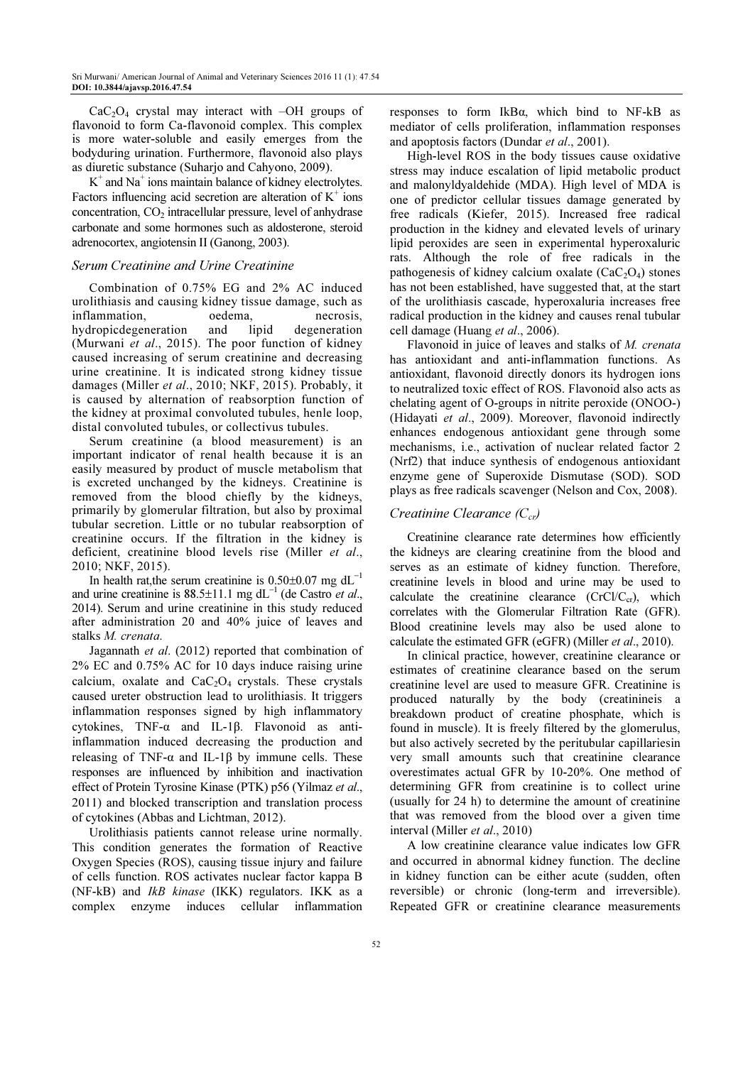$CaC<sub>2</sub>O<sub>4</sub>$  crystal may interact with –OH groups of flavonoid to form Ca-flavonoid complex. This complex is more water-soluble and easily emerges from the bodyduring urination. Furthermore, flavonoid also plays as diuretic substance (Suharjo and Cahyono, 2009).

 $K^+$  and  $Na^+$  ions maintain balance of kidney electrolytes. Factors influencing acid secretion are alteration of  $K^+$  ions  $concentration, CO<sub>2</sub> intracellular pressure, level of anhydrase$ carbonate and some hormones such as aldosterone, steroid adrenocortex, angiotensin II (Ganong, 2003).

### Serum Creatinine and Urine Creatinine

Combination of 0.75% EG and 2% AC induced urolithiasis and causing kidney tissue damage, such as inflammation, oedema, necrosis, hydropicdegeneration and lipid degeneration (Murwani et al., 2015). The poor function of kidney caused increasing of serum creatinine and decreasing urine creatinine. It is indicated strong kidney tissue damages (Miller et al., 2010; NKF, 2015). Probably, it is caused by alternation of reabsorption function of the kidney at proximal convoluted tubules, henle loop, distal convoluted tubules, or collectivus tubules.

Serum creatinine (a blood measurement) is an important indicator of renal health because it is an easily measured by product of muscle metabolism that is excreted unchanged by the kidneys. Creatinine is removed from the blood chiefly by the kidneys, primarily by glomerular filtration, but also by proximal tubular secretion. Little or no tubular reabsorption of creatinine occurs. If the filtration in the kidney is deficient, creatinine blood levels rise (Miller et al., 2010; NKF, 2015).

In health rat,the serum creatinine is  $0.50\pm0.07$  mg dL<sup>-1</sup> and urine creatinine is  $88.5 \pm 11.1$  mg dL<sup>-1</sup> (de Castro *et al.*, 2014). Serum and urine creatinine in this study reduced after administration 20 and 40% juice of leaves and stalks M. crenata.

Jagannath et al. (2012) reported that combination of 2% EC and 0.75% AC for 10 days induce raising urine calcium, oxalate and  $CaC<sub>2</sub>O<sub>4</sub>$  crystals. These crystals caused ureter obstruction lead to urolithiasis. It triggers inflammation responses signed by high inflammatory cytokines, TNF-α and IL-1β. Flavonoid as antiinflammation induced decreasing the production and releasing of TNF- $\alpha$  and IL-1β by immune cells. These responses are influenced by inhibition and inactivation effect of Protein Tyrosine Kinase (PTK) p56 (Yilmaz et al., 2011) and blocked transcription and translation process of cytokines (Abbas and Lichtman, 2012).

Urolithiasis patients cannot release urine normally. This condition generates the formation of Reactive Oxygen Species (ROS), causing tissue injury and failure of cells function. ROS activates nuclear factor kappa B (NF-kB) and IkB kinase (IKK) regulators. IKK as a complex enzyme induces cellular inflammation responses to form IkBα, which bind to NF-kB as mediator of cells proliferation, inflammation responses and apoptosis factors (Dundar *et al.*, 2001).

High-level ROS in the body tissues cause oxidative stress may induce escalation of lipid metabolic product and malonyldyaldehide (MDA). High level of MDA is one of predictor cellular tissues damage generated by free radicals (Kiefer, 2015). Increased free radical production in the kidney and elevated levels of urinary lipid peroxides are seen in experimental hyperoxaluric rats. Although the role of free radicals in the pathogenesis of kidney calcium oxalate  $(CaC<sub>2</sub>O<sub>4</sub>)$  stones has not been established, have suggested that, at the start of the urolithiasis cascade, hyperoxaluria increases free radical production in the kidney and causes renal tubular cell damage (Huang et al., 2006).

Flavonoid in juice of leaves and stalks of M. crenata has antioxidant and anti-inflammation functions. As antioxidant, flavonoid directly donors its hydrogen ions to neutralized toxic effect of ROS. Flavonoid also acts as chelating agent of O-groups in nitrite peroxide (ONOO-) (Hidayati et al., 2009). Moreover, flavonoid indirectly enhances endogenous antioxidant gene through some mechanisms, i.e., activation of nuclear related factor 2 (Nrf2) that induce synthesis of endogenous antioxidant enzyme gene of Superoxide Dismutase (SOD). SOD plays as free radicals scavenger (Nelson and Cox, 2008).

# Creatinine Clearance  $(C_{cr})$

Creatinine clearance rate determines how efficiently the kidneys are clearing creatinine from the blood and serves as an estimate of kidney function. Therefore, creatinine levels in blood and urine may be used to calculate the creatinine clearance  $(CrCl/C_{cr})$ , which correlates with the Glomerular Filtration Rate (GFR). Blood creatinine levels may also be used alone to calculate the estimated GFR (eGFR) (Miller et al., 2010).

In clinical practice, however, creatinine clearance or estimates of creatinine clearance based on the serum creatinine level are used to measure GFR. Creatinine is produced naturally by the body (creatinineis a breakdown product of creatine phosphate, which is found in muscle). It is freely filtered by the glomerulus, but also actively secreted by the peritubular capillariesin very small amounts such that creatinine clearance overestimates actual GFR by 10-20%. One method of determining GFR from creatinine is to collect urine (usually for 24 h) to determine the amount of creatinine that was removed from the blood over a given time interval (Miller et al., 2010)

A low creatinine clearance value indicates low GFR and occurred in abnormal kidney function. The decline in kidney function can be either acute (sudden, often reversible) or chronic (long-term and irreversible). Repeated GFR or creatinine clearance measurements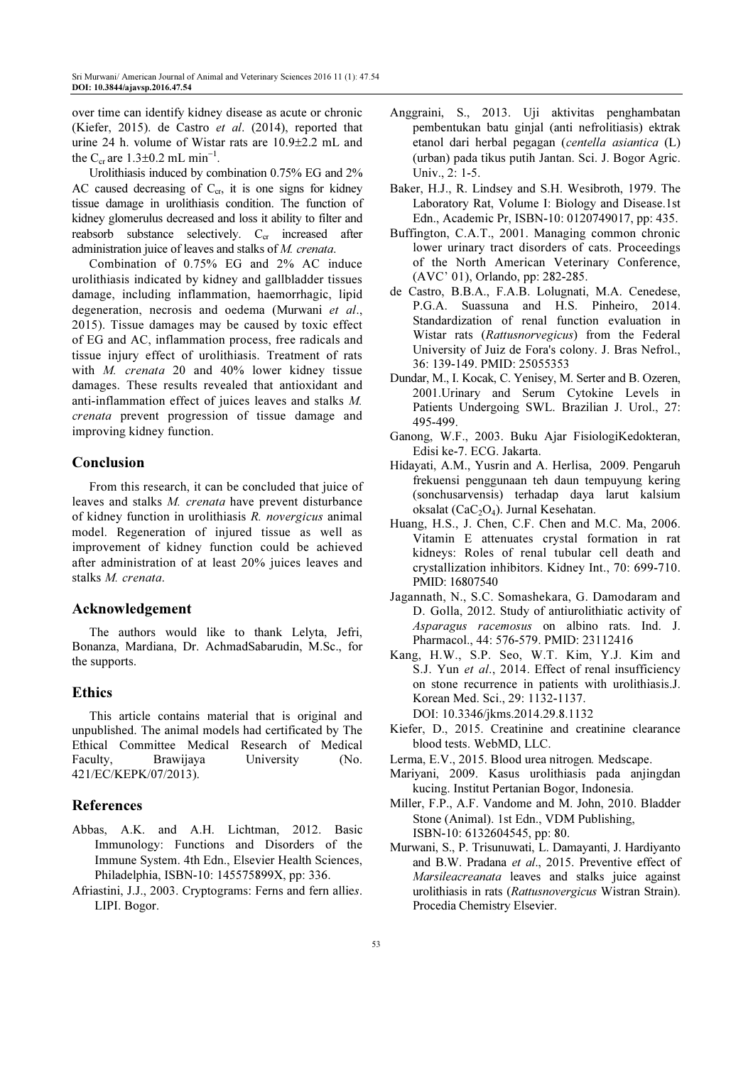over time can identify kidney disease as acute or chronic (Kiefer, 2015). de Castro et al. (2014), reported that urine 24 h. volume of Wistar rats are 10.9±2.2 mL and the C<sub>cr</sub> are  $1.3 \pm 0.2$  mL min<sup>-1</sup>.

Urolithiasis induced by combination 0.75% EG and 2% AC caused decreasing of  $C_{cr}$ , it is one signs for kidney tissue damage in urolithiasis condition. The function of kidney glomerulus decreased and loss it ability to filter and reabsorb substance selectively.  $C_{cr}$  increased after administration juice of leaves and stalks of M. crenata.

Combination of 0.75% EG and 2% AC induce urolithiasis indicated by kidney and gallbladder tissues damage, including inflammation, haemorrhagic, lipid degeneration, necrosis and oedema (Murwani et al., 2015). Tissue damages may be caused by toxic effect of EG and AC, inflammation process, free radicals and tissue injury effect of urolithiasis. Treatment of rats with M. crenata 20 and 40% lower kidney tissue damages. These results revealed that antioxidant and anti-inflammation effect of juices leaves and stalks M. crenata prevent progression of tissue damage and improving kidney function.

# Conclusion

From this research, it can be concluded that juice of leaves and stalks M. crenata have prevent disturbance of kidney function in urolithiasis R. novergicus animal model. Regeneration of injured tissue as well as improvement of kidney function could be achieved after administration of at least 20% juices leaves and stalks M. crenata.

# Acknowledgement

The authors would like to thank Lelyta, Jefri, Bonanza, Mardiana, Dr. AchmadSabarudin, M.Sc., for the supports.

# Ethics

This article contains material that is original and unpublished. The animal models had certificated by The Ethical Committee Medical Research of Medical Faculty, Brawijaya University (No. 421/EC/KEPK/07/2013).

# References

- Abbas, A.K. and A.H. Lichtman, 2012. Basic Immunology: Functions and Disorders of the Immune System. 4th Edn., Elsevier Health Sciences, Philadelphia, ISBN-10: 145575899X, pp: 336.
- Afriastini, J.J., 2003. Cryptograms: Ferns and fern allies. LIPI. Bogor.
- Anggraini, S., 2013. Uji aktivitas penghambatan pembentukan batu ginjal (anti nefrolitiasis) ektrak etanol dari herbal pegagan (centella asiantica (L) (urban) pada tikus putih Jantan. Sci. J. Bogor Agric. Univ., 2: 1-5.
- Baker, H.J., R. Lindsey and S.H. Wesibroth, 1979. The Laboratory Rat, Volume I: Biology and Disease.1st Edn., Academic Pr, ISBN-10: 0120749017, pp: 435.
- Buffington, C.A.T., 2001. Managing common chronic lower urinary tract disorders of cats. Proceedings of the North American Veterinary Conference, (AVC' 01), Orlando, pp: 282-285.
- de Castro, B.B.A., F.A.B. Lolugnati, M.A. Cenedese, P.G.A. Suassuna and H.S. Pinheiro, 2014. Standardization of renal function evaluation in Wistar rats (Rattusnorvegicus) from the Federal University of Juiz de Fora's colony. J. Bras Nefrol., 36: 139-149. PMID: 25055353
- Dundar, M., I. Kocak, C. Yenisey, M. Serter and B. Ozeren, 2001.Urinary and Serum Cytokine Levels in Patients Undergoing SWL. Brazilian J. Urol., 27: 495-499.
- Ganong, W.F., 2003. Buku Ajar FisiologiKedokteran, Edisi ke-7. ECG. Jakarta.
- Hidayati, A.M., Yusrin and A. Herlisa, 2009. Pengaruh frekuensi penggunaan teh daun tempuyung kering (sonchusarvensis) terhadap daya larut kalsium oksalat (CaC<sub>2</sub>O<sub>4</sub>). Jurnal Kesehatan.
- Huang, H.S., J. Chen, C.F. Chen and M.C. Ma, 2006. Vitamin E attenuates crystal formation in rat kidneys: Roles of renal tubular cell death and crystallization inhibitors. Kidney Int., 70: 699-710. PMID: 16807540
- Jagannath, N., S.C. Somashekara, G. Damodaram and D. Golla, 2012. Study of antiurolithiatic activity of Asparagus racemosus on albino rats. Ind. J. Pharmacol., 44: 576-579. PMID: 23112416
- Kang, H.W., S.P. Seo, W.T. Kim, Y.J. Kim and S.J. Yun et al., 2014. Effect of renal insufficiency on stone recurrence in patients with urolithiasis.J. Korean Med. Sci., 29: 1132-1137. DOI: 10.3346/jkms.2014.29.8.1132
- Kiefer, D., 2015. Creatinine and creatinine clearance blood tests. WebMD, LLC.
- Lerma, E.V., 2015. Blood urea nitrogen. Medscape.
- Mariyani, 2009. Kasus urolithiasis pada anjingdan kucing. Institut Pertanian Bogor, Indonesia.
- Miller, F.P., A.F. Vandome and M. John, 2010. Bladder Stone (Animal). 1st Edn., VDM Publishing, ISBN-10: 6132604545, pp: 80.
- Murwani, S., P. Trisunuwati, L. Damayanti, J. Hardiyanto and B.W. Pradana et al., 2015. Preventive effect of Marsileacreanata leaves and stalks juice against urolithiasis in rats (Rattusnovergicus Wistran Strain). Procedia Chemistry Elsevier.